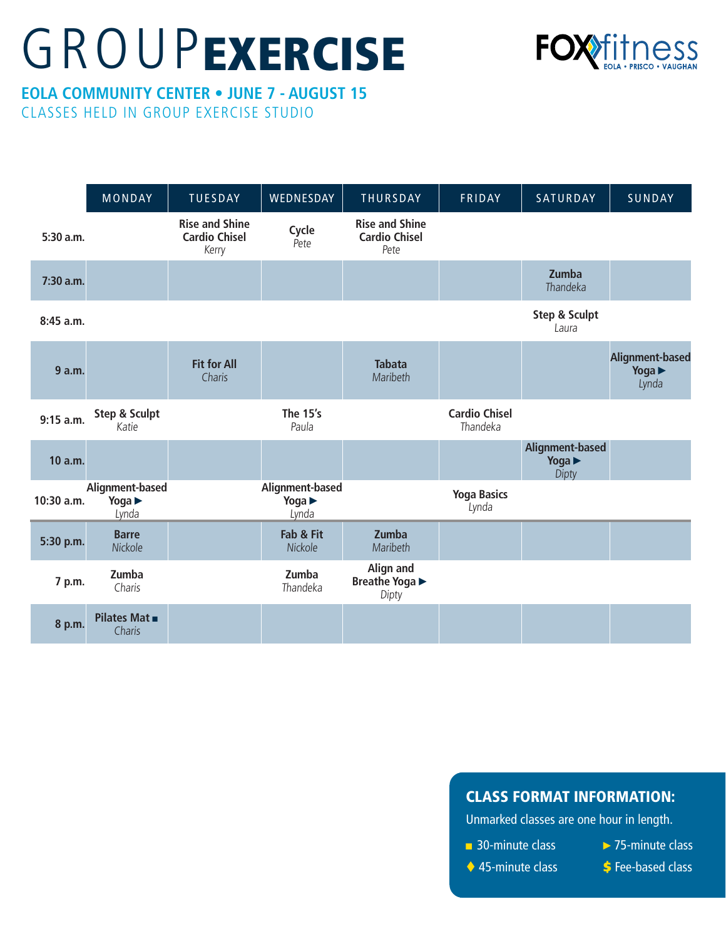## **GROUPEXERCISE**



## **EOLA COMMUNITY CENTER • JUNE 7 - AUGUST 15** CLASSES HELD IN GROUP EXERCISE STUDIO

MONDAY | TUESDAY | WEDNESDAY | THURSDAY | FRIDAY | SATURDAY | SUNDAY **5:30 a.m. Rise and Shine Cardio Chisel** Kerry **Cycle** Pete **Rise and Shine Cardio Chisel** Pete **7:30 a.m. Zumba Thandeka 8:45 a.m. Step & Sculpt** Laura **9 a.m. Fit for All Charis Tabata Maribeth Alignment-based Yoga** ► Lynda **9:15 a.m. Step & Sculpt** Katie **The 15's** Paula **Cardio Chisel** Thandeka **10 a.m. Alignment-based Yoga** ► Dipty **10:30 a.m. Alignment-based Yoga** ► Lynda **Alignment-based Yoga** ► Lynda **Yoga Basics** Lynda **5:30 p.m. Barre** Nickole **Fab & Fit Nickole Zumba Maribeth 7 p.m. Zumba** Charis **Zumba** Thandeka **Align and Breathe Yoga** ► Dipty **8 p.m. Pilates Mat** ■ **Charis** 

## CLASS FORMAT INFORMATION:

Unmarked classes are one hour in length.

- 30-minute class
- ►75-minute class
- ◆ 45-minute class
- **\$** Fee-based class